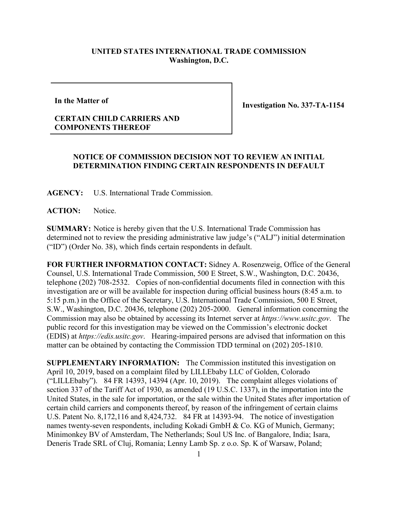## **UNITED STATES INTERNATIONAL TRADE COMMISSION Washington, D.C.**

**In the Matter of**

**Investigation No. 337-TA-1154**

## **CERTAIN CHILD CARRIERS AND COMPONENTS THEREOF**

## **NOTICE OF COMMISSION DECISION NOT TO REVIEW AN INITIAL DETERMINATION FINDING CERTAIN RESPONDENTS IN DEFAULT**

**AGENCY:** U.S. International Trade Commission.

**ACTION:** Notice.

**SUMMARY:** Notice is hereby given that the U.S. International Trade Commission has determined not to review the presiding administrative law judge's ("ALJ") initial determination ("ID") (Order No. 38), which finds certain respondents in default.

**FOR FURTHER INFORMATION CONTACT:** Sidney A. Rosenzweig, Office of the General Counsel, U.S. International Trade Commission, 500 E Street, S.W., Washington, D.C. 20436, telephone (202) 708-2532. Copies of non-confidential documents filed in connection with this investigation are or will be available for inspection during official business hours (8:45 a.m. to 5:15 p.m.) in the Office of the Secretary, U.S. International Trade Commission, 500 E Street, S.W., Washington, D.C. 20436, telephone (202) 205-2000. General information concerning the Commission may also be obtained by accessing its Internet server at *https://www.usitc.gov*. The public record for this investigation may be viewed on the Commission's electronic docket (EDIS) at *https://edis.usitc.gov*. Hearing-impaired persons are advised that information on this matter can be obtained by contacting the Commission TDD terminal on (202) 205-1810.

**SUPPLEMENTARY INFORMATION:** The Commission instituted this investigation on April 10, 2019, based on a complaint filed by LILLEbaby LLC of Golden, Colorado ("LILLEbaby"). 84 FR 14393, 14394 (Apr. 10, 2019). The complaint alleges violations of section 337 of the Tariff Act of 1930, as amended (19 U.S.C. 1337), in the importation into the United States, in the sale for importation, or the sale within the United States after importation of certain child carriers and components thereof, by reason of the infringement of certain claims U.S. Patent No. 8,172,116 and 8,424,732. 84 FR at 14393-94. The notice of investigation names twenty-seven respondents, including Kokadi GmbH & Co. KG of Munich, Germany; Minimonkey BV of Amsterdam, The Netherlands; Soul US Inc. of Bangalore, India; Isara, Deneris Trade SRL of Cluj, Romania; Lenny Lamb Sp. z o.o. Sp. K of Warsaw, Poland;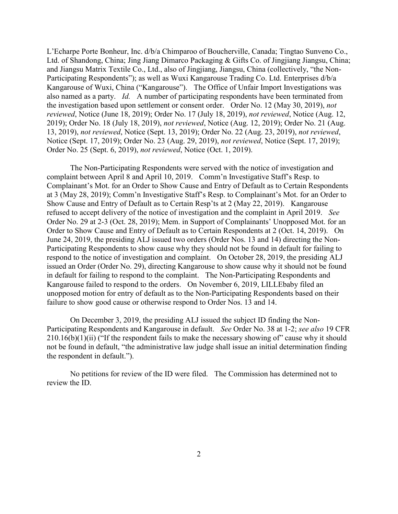L'Echarpe Porte Bonheur, Inc. d/b/a Chimparoo of Boucherville, Canada; Tingtao Sunveno Co., Ltd. of Shandong, China; Jing Jiang Dimarco Packaging & Gifts Co. of Jingjiang Jiangsu, China; and Jiangsu Matrix Textile Co., Ltd., also of Jingjiang, Jiangsu, China (collectively, "the Non-Participating Respondents"); as well as Wuxi Kangarouse Trading Co. Ltd. Enterprises d/b/a Kangarouse of Wuxi, China ("Kangarouse"). The Office of Unfair Import Investigations was also named as a party. *Id.* A number of participating respondents have been terminated from the investigation based upon settlement or consent order. Order No. 12 (May 30, 2019), *not reviewed*, Notice (June 18, 2019); Order No. 17 (July 18, 2019), *not reviewed*, Notice (Aug. 12, 2019); Order No. 18 (July 18, 2019), *not reviewed*, Notice (Aug. 12, 2019); Order No. 21 (Aug. 13, 2019), *not reviewed*, Notice (Sept. 13, 2019); Order No. 22 (Aug. 23, 2019), *not reviewed*, Notice (Sept. 17, 2019); Order No. 23 (Aug. 29, 2019), *not reviewed*, Notice (Sept. 17, 2019); Order No. 25 (Sept. 6, 2019), *not reviewed*, Notice (Oct. 1, 2019).

The Non-Participating Respondents were served with the notice of investigation and complaint between April 8 and April 10, 2019. Comm'n Investigative Staff's Resp. to Complainant's Mot. for an Order to Show Cause and Entry of Default as to Certain Respondents at 3 (May 28, 2019); Comm'n Investigative Staff's Resp. to Complainant's Mot. for an Order to Show Cause and Entry of Default as to Certain Resp'ts at 2 (May 22, 2019). Kangarouse refused to accept delivery of the notice of investigation and the complaint in April 2019. *See*  Order No. 29 at 2-3 (Oct. 28, 2019); Mem. in Support of Complainants' Unopposed Mot. for an Order to Show Cause and Entry of Default as to Certain Respondents at 2 (Oct. 14, 2019). On June 24, 2019, the presiding ALJ issued two orders (Order Nos. 13 and 14) directing the Non-Participating Respondents to show cause why they should not be found in default for failing to respond to the notice of investigation and complaint. On October 28, 2019, the presiding ALJ issued an Order (Order No. 29), directing Kangarouse to show cause why it should not be found in default for failing to respond to the complaint. The Non-Participating Respondents and Kangarouse failed to respond to the orders. On November 6, 2019, LILLEbaby filed an unopposed motion for entry of default as to the Non-Participating Respondents based on their failure to show good cause or otherwise respond to Order Nos. 13 and 14.

On December 3, 2019, the presiding ALJ issued the subject ID finding the Non-Participating Respondents and Kangarouse in default. *See* Order No. 38 at 1-2; *see also* 19 CFR  $210.16(b)(1)(ii)$  ("If the respondent fails to make the necessary showing of" cause why it should not be found in default, "the administrative law judge shall issue an initial determination finding the respondent in default.").

No petitions for review of the ID were filed. The Commission has determined not to review the ID.